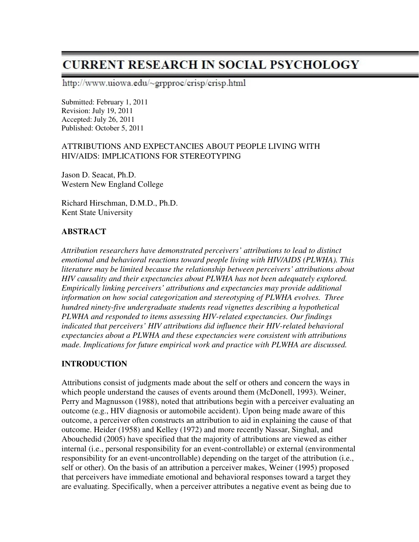# **CURRENT RESEARCH IN SOCIAL PSYCHOLOGY**

http://www.uiowa.edu/~grpproc/crisp/crisp.html

Submitted: February 1, 2011 Revision: July 19, 2011 Accepted: July 26, 2011 Published: October 5, 2011

#### ATTRIBUTIONS AND EXPECTANCIES ABOUT PEOPLE LIVING WITH HIV/AIDS: IMPLICATIONS FOR STEREOTYPING

Jason D. Seacat, Ph.D. Western New England College

Richard Hirschman, D.M.D., Ph.D. Kent State University

#### **ABSTRACT**

*Attribution researchers have demonstrated perceivers' attributions to lead to distinct emotional and behavioral reactions toward people living with HIV/AIDS (PLWHA). This literature may be limited because the relationship between perceivers' attributions about HIV causality and their expectancies about PLWHA has not been adequately explored. Empirically linking perceivers' attributions and expectancies may provide additional information on how social categorization and stereotyping of PLWHA evolves. Three hundred ninety-five undergraduate students read vignettes describing a hypothetical PLWHA and responded to items assessing HIV-related expectancies. Our findings indicated that perceivers' HIV attributions did influence their HIV-related behavioral expectancies about a PLWHA and these expectancies were consistent with attributions made. Implications for future empirical work and practice with PLWHA are discussed.* 

#### **INTRODUCTION**

Attributions consist of judgments made about the self or others and concern the ways in which people understand the causes of events around them (McDonell, 1993). Weiner, Perry and Magnusson (1988), noted that attributions begin with a perceiver evaluating an outcome (e.g., HIV diagnosis or automobile accident). Upon being made aware of this outcome, a perceiver often constructs an attribution to aid in explaining the cause of that outcome. Heider (1958) and Kelley (1972) and more recently Nassar, Singhal, and Abouchedid (2005) have specified that the majority of attributions are viewed as either internal (i.e., personal responsibility for an event-controllable) or external (environmental responsibility for an event-uncontrollable) depending on the target of the attribution (i.e., self or other). On the basis of an attribution a perceiver makes, Weiner (1995) proposed that perceivers have immediate emotional and behavioral responses toward a target they are evaluating. Specifically, when a perceiver attributes a negative event as being due to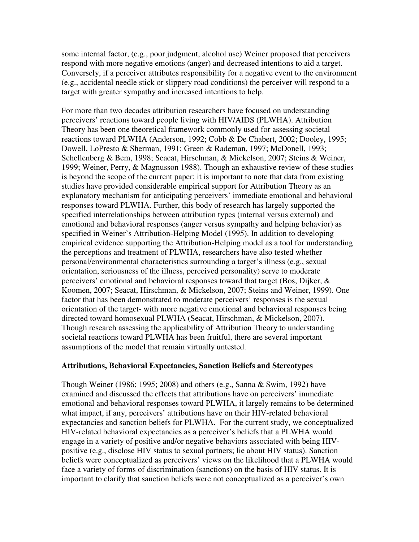some internal factor, (e.g., poor judgment, alcohol use) Weiner proposed that perceivers respond with more negative emotions (anger) and decreased intentions to aid a target. Conversely, if a perceiver attributes responsibility for a negative event to the environment (e.g., accidental needle stick or slippery road conditions) the perceiver will respond to a target with greater sympathy and increased intentions to help.

For more than two decades attribution researchers have focused on understanding perceivers' reactions toward people living with HIV/AIDS (PLWHA). Attribution Theory has been one theoretical framework commonly used for assessing societal reactions toward PLWHA (Anderson, 1992; Cobb & De Chabert, 2002; Dooley, 1995; Dowell, LoPresto & Sherman, 1991; Green & Rademan, 1997; McDonell, 1993; Schellenberg & Bem, 1998; Seacat, Hirschman, & Mickelson, 2007; Steins & Weiner, 1999; Weiner, Perry, & Magnusson 1988). Though an exhaustive review of these studies is beyond the scope of the current paper; it is important to note that data from existing studies have provided considerable empirical support for Attribution Theory as an explanatory mechanism for anticipating perceivers' immediate emotional and behavioral responses toward PLWHA. Further, this body of research has largely supported the specified interrelationships between attribution types (internal versus external) and emotional and behavioral responses (anger versus sympathy and helping behavior) as specified in Weiner's Attribution-Helping Model (1995). In addition to developing empirical evidence supporting the Attribution-Helping model as a tool for understanding the perceptions and treatment of PLWHA, researchers have also tested whether personal/environmental characteristics surrounding a target's illness (e.g., sexual orientation, seriousness of the illness, perceived personality) serve to moderate perceivers' emotional and behavioral responses toward that target (Bos, Dijker, & Koomen, 2007; Seacat, Hirschman, & Mickelson, 2007; Steins and Weiner, 1999). One factor that has been demonstrated to moderate perceivers' responses is the sexual orientation of the target- with more negative emotional and behavioral responses being directed toward homosexual PLWHA (Seacat, Hirschman, & Mickelson, 2007). Though research assessing the applicability of Attribution Theory to understanding societal reactions toward PLWHA has been fruitful, there are several important assumptions of the model that remain virtually untested.

#### **Attributions, Behavioral Expectancies, Sanction Beliefs and Stereotypes**

Though Weiner (1986; 1995; 2008) and others (e.g., Sanna & Swim, 1992) have examined and discussed the effects that attributions have on perceivers' immediate emotional and behavioral responses toward PLWHA, it largely remains to be determined what impact, if any, perceivers' attributions have on their HIV-related behavioral expectancies and sanction beliefs for PLWHA. For the current study, we conceptualized HIV-related behavioral expectancies as a perceiver's beliefs that a PLWHA would engage in a variety of positive and/or negative behaviors associated with being HIVpositive (e.g., disclose HIV status to sexual partners; lie about HIV status). Sanction beliefs were conceptualized as perceivers' views on the likelihood that a PLWHA would face a variety of forms of discrimination (sanctions) on the basis of HIV status. It is important to clarify that sanction beliefs were not conceptualized as a perceiver's own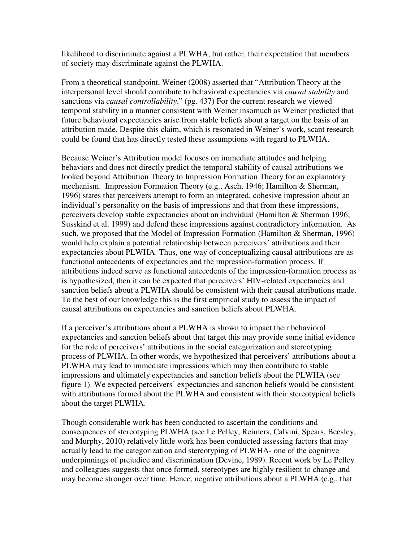likelihood to discriminate against a PLWHA, but rather, their expectation that members of society may discriminate against the PLWHA.

From a theoretical standpoint, Weiner (2008) asserted that "Attribution Theory at the interpersonal level should contribute to behavioral expectancies via *causal stability* and sanctions via *causal controllability*." (pg. 437) For the current research we viewed temporal stability in a manner consistent with Weiner insomuch as Weiner predicted that future behavioral expectancies arise from stable beliefs about a target on the basis of an attribution made. Despite this claim, which is resonated in Weiner's work, scant research could be found that has directly tested these assumptions with regard to PLWHA.

Because Weiner's Attribution model focuses on immediate attitudes and helping behaviors and does not directly predict the temporal stability of causal attributions we looked beyond Attribution Theory to Impression Formation Theory for an explanatory mechanism. Impression Formation Theory (e.g., Asch, 1946; Hamilton & Sherman, 1996) states that perceivers attempt to form an integrated, cohesive impression about an individual's personality on the basis of impressions and that from these impressions, perceivers develop stable expectancies about an individual (Hamilton & Sherman 1996; Susskind et al. 1999) and defend these impressions against contradictory information. As such, we proposed that the Model of Impression Formation (Hamilton & Sherman, 1996) would help explain a potential relationship between perceivers' attributions and their expectancies about PLWHA. Thus, one way of conceptualizing causal attributions are as functional antecedents of expectancies and the impression-formation process. If attributions indeed serve as functional antecedents of the impression-formation process as is hypothesized, then it can be expected that perceivers' HIV-related expectancies and sanction beliefs about a PLWHA should be consistent with their causal attributions made. To the best of our knowledge this is the first empirical study to assess the impact of causal attributions on expectancies and sanction beliefs about PLWHA.

If a perceiver's attributions about a PLWHA is shown to impact their behavioral expectancies and sanction beliefs about that target this may provide some initial evidence for the role of perceivers' attributions in the social categorization and stereotyping process of PLWHA. In other words, we hypothesized that perceivers' attributions about a PLWHA may lead to immediate impressions which may then contribute to stable impressions and ultimately expectancies and sanction beliefs about the PLWHA (see figure 1). We expected perceivers' expectancies and sanction beliefs would be consistent with attributions formed about the PLWHA and consistent with their stereotypical beliefs about the target PLWHA.

Though considerable work has been conducted to ascertain the conditions and consequences of stereotyping PLWHA (see Le Pelley, Reimers, Calvini, Spears, Beesley, and Murphy, 2010) relatively little work has been conducted assessing factors that may actually lead to the categorization and stereotyping of PLWHA- one of the cognitive underpinnings of prejudice and discrimination (Devine, 1989). Recent work by Le Pelley and colleagues suggests that once formed, stereotypes are highly resilient to change and may become stronger over time. Hence, negative attributions about a PLWHA (e.g., that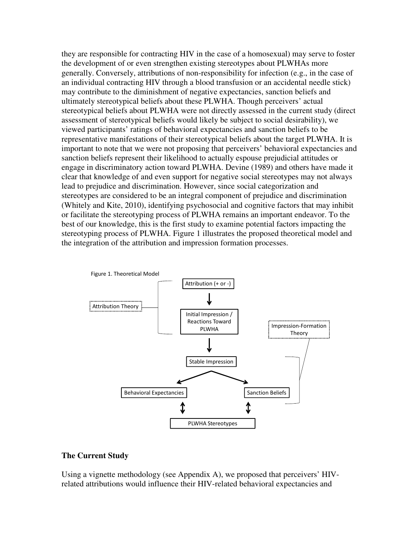they are responsible for contracting HIV in the case of a homosexual) may serve to foster the development of or even strengthen existing stereotypes about PLWHAs more generally. Conversely, attributions of non-responsibility for infection (e.g., in the case of an individual contracting HIV through a blood transfusion or an accidental needle stick) may contribute to the diminishment of negative expectancies, sanction beliefs and ultimately stereotypical beliefs about these PLWHA. Though perceivers' actual stereotypical beliefs about PLWHA were not directly assessed in the current study (direct assessment of stereotypical beliefs would likely be subject to social desirability), we viewed participants' ratings of behavioral expectancies and sanction beliefs to be representative manifestations of their stereotypical beliefs about the target PLWHA. It is important to note that we were not proposing that perceivers' behavioral expectancies and sanction beliefs represent their likelihood to actually espouse prejudicial attitudes or engage in discriminatory action toward PLWHA. Devine (1989) and others have made it clear that knowledge of and even support for negative social stereotypes may not always lead to prejudice and discrimination. However, since social categorization and stereotypes are considered to be an integral component of prejudice and discrimination (Whitely and Kite, 2010), identifying psychosocial and cognitive factors that may inhibit or facilitate the stereotyping process of PLWHA remains an important endeavor. To the best of our knowledge, this is the first study to examine potential factors impacting the stereotyping process of PLWHA. Figure 1 illustrates the proposed theoretical model and the integration of the attribution and impression formation processes.



#### **The Current Study**

Using a vignette methodology (see Appendix A), we proposed that perceivers' HIVrelated attributions would influence their HIV-related behavioral expectancies and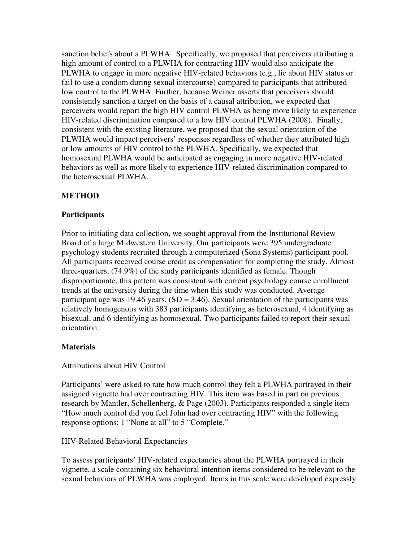sanction beliefs about a PLWHA. Specifically, we proposed that perceivers attributing a high amount of control to a PLWHA for contracting HIV would also anticipate the PLWHA to engage in more negative HIV-related behaviors (e.g., lie about HIV status or fail to use a condom during sexual intercourse) compared to participants that attributed low control to the PLWHA. Further, because Weiner asserts that perceivers should consistently sanction a target on the basis of a causal attribution, we expected that perceivers would report the high HIV control PLWHA as being more likely to experience HIV-related discrimination compared to a low HIV control PLWHA (2008). Finally, consistent with the existing literature, we proposed that the sexual orientation of the PLWHA would impact perceivers' responses regardless of whether they attributed high or low amounts of HIV control to the PLWHA. Specifically, we expected that homosexual PLWHA would be anticipated as engaging in more negative HIV-related behaviors as well as more likely to experience HIV-related discrimination compared to the heterosexual PLWHA.

#### **METHOD**

#### **Participants**

Prior to initiating data collection, we sought approval from the Institutional Review Board of a large Midwestern University. Our participants were 395 undergraduate psychology students recruited through a computerized (Sona Systems) participant pool. All participants received course credit as compensation for completing the study. Almost three-quarters, (74.9%) of the study participants identified as female. Though disproportionate, this pattern was consistent with current psychology course enrollment trends at the university during the time when this study was conducted. Average participant age was 19.46 years,  $(SD = 3.46)$ . Sexual orientation of the participants was relatively homogenous with 383 participants identifying as heterosexual, 4 identifying as bisexual, and 6 identifying as homosexual. Two participants failed to report their sexual orientation.

#### **Materials**

#### Attributions about HIV Control

Participants' were asked to rate how much control they felt a PLWHA portrayed in their assigned vignette had over contracting HIV. This item was based in part on previous research by Mantler, Schellenberg, & Page (2003). Participants responded a single item "How much control did you feel John had over contracting HIV" with the following response options: 1 "None at all" to 5 "Complete."

#### HIV-Related Behavioral Expectancies

To assess participants' HIV-related expectancies about the PLWHA portrayed in their vignette, a scale containing six behavioral intention items considered to be relevant to the sexual behaviors of PLWHA was employed. Items in this scale were developed expressly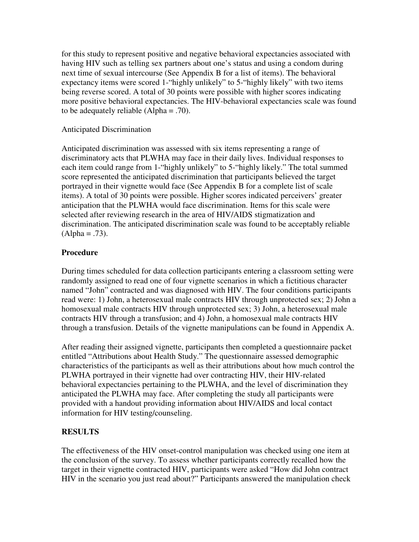for this study to represent positive and negative behavioral expectancies associated with having HIV such as telling sex partners about one's status and using a condom during next time of sexual intercourse (See Appendix B for a list of items). The behavioral expectancy items were scored 1-"highly unlikely" to 5-"highly likely" with two items being reverse scored. A total of 30 points were possible with higher scores indicating more positive behavioral expectancies. The HIV-behavioral expectancies scale was found to be adequately reliable (Alpha = .70).

#### Anticipated Discrimination

Anticipated discrimination was assessed with six items representing a range of discriminatory acts that PLWHA may face in their daily lives. Individual responses to each item could range from 1-"highly unlikely" to 5-"highly likely." The total summed score represented the anticipated discrimination that participants believed the target portrayed in their vignette would face (See Appendix B for a complete list of scale items). A total of 30 points were possible. Higher scores indicated perceivers' greater anticipation that the PLWHA would face discrimination. Items for this scale were selected after reviewing research in the area of HIV/AIDS stigmatization and discrimination. The anticipated discrimination scale was found to be acceptably reliable  $(Alpha = .73)$ .

#### **Procedure**

During times scheduled for data collection participants entering a classroom setting were randomly assigned to read one of four vignette scenarios in which a fictitious character named "John" contracted and was diagnosed with HIV. The four conditions participants read were: 1) John, a heterosexual male contracts HIV through unprotected sex; 2) John a homosexual male contracts HIV through unprotected sex; 3) John, a heterosexual male contracts HIV through a transfusion; and 4) John, a homosexual male contracts HIV through a transfusion. Details of the vignette manipulations can be found in Appendix A.

After reading their assigned vignette, participants then completed a questionnaire packet entitled "Attributions about Health Study." The questionnaire assessed demographic characteristics of the participants as well as their attributions about how much control the PLWHA portrayed in their vignette had over contracting HIV, their HIV-related behavioral expectancies pertaining to the PLWHA, and the level of discrimination they anticipated the PLWHA may face. After completing the study all participants were provided with a handout providing information about HIV/AIDS and local contact information for HIV testing/counseling.

#### **RESULTS**

The effectiveness of the HIV onset-control manipulation was checked using one item at the conclusion of the survey. To assess whether participants correctly recalled how the target in their vignette contracted HIV, participants were asked "How did John contract HIV in the scenario you just read about?" Participants answered the manipulation check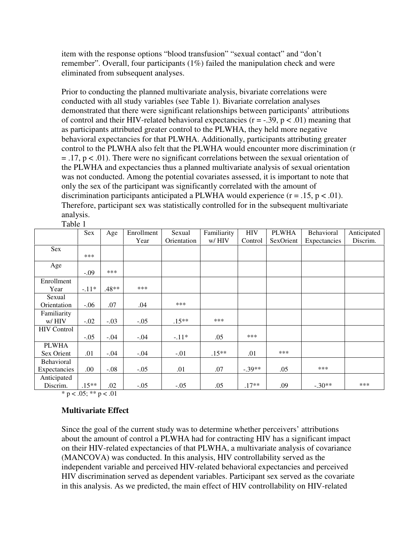item with the response options "blood transfusion" "sexual contact" and "don't remember". Overall, four participants (1%) failed the manipulation check and were eliminated from subsequent analyses.

Prior to conducting the planned multivariate analysis, bivariate correlations were conducted with all study variables (see Table 1). Bivariate correlation analyses demonstrated that there were significant relationships between participants' attributions of control and their HIV-related behavioral expectancies  $(r = -.39, p < .01)$  meaning that as participants attributed greater control to the PLWHA, they held more negative behavioral expectancies for that PLWHA. Additionally, participants attributing greater control to the PLWHA also felt that the PLWHA would encounter more discrimination (r  $= .17$ ,  $p < .01$ ). There were no significant correlations between the sexual orientation of the PLWHA and expectancies thus a planned multivariate analysis of sexual orientation was not conducted. Among the potential covariates assessed, it is important to note that only the sex of the participant was significantly correlated with the amount of discrimination participants anticipated a PLWHA would experience  $(r = .15, p < .01)$ . Therefore, participant sex was statistically controlled for in the subsequent multivariate analysis.

|                    | Sex     | Age     | Enrollment | Sexual      | Familiarity | <b>HIV</b> | <b>PLWHA</b> | Behavioral   | Anticipated |
|--------------------|---------|---------|------------|-------------|-------------|------------|--------------|--------------|-------------|
|                    |         |         | Year       | Orientation | w/HIV       | Control    | SexOrient    | Expectancies | Discrim.    |
| Sex                |         |         |            |             |             |            |              |              |             |
|                    | ***     |         |            |             |             |            |              |              |             |
| Age                |         |         |            |             |             |            |              |              |             |
|                    | $-.09$  | ***     |            |             |             |            |              |              |             |
| Enrollment         |         |         |            |             |             |            |              |              |             |
| Year               | $-.11*$ | $.48**$ | ***        |             |             |            |              |              |             |
| Sexual             |         |         |            |             |             |            |              |              |             |
| Orientation        | $-.06$  | .07     | .04        | ***         |             |            |              |              |             |
| Familiarity        |         |         |            |             |             |            |              |              |             |
| $W/$ HIV           | $-.02$  | $-.03$  | $-.05$     | $.15***$    | ***         |            |              |              |             |
| <b>HIV</b> Control |         |         |            |             |             |            |              |              |             |
|                    | $-.05$  | $-.04$  | $-.04$     | $-.11*$     | .05         | ***        |              |              |             |
| <b>PLWHA</b>       |         |         |            |             |             |            |              |              |             |
| Sex Orient         | .01     | $-.04$  | $-.04$     | $-.01$      | $.15**$     | .01        | ***          |              |             |
| Behavioral         |         |         |            |             |             |            |              |              |             |
| Expectancies       | .00     | $-.08$  | $-.05$     | .01         | .07         | $-.39**$   | .05          | ***          |             |
| Anticipated        |         |         |            |             |             |            |              |              |             |
| Discrim.           | $.15**$ | .02     | $-.05$     | $-.05$      | .05         | $.17**$    | .09          | $-.30**$     | ***         |

Table 1

 $*$  p < .05;  $*$  $*$  p < .01

### **Multivariate Effect**

Since the goal of the current study was to determine whether perceivers' attributions about the amount of control a PLWHA had for contracting HIV has a significant impact on their HIV-related expectancies of that PLWHA, a multivariate analysis of covariance (MANCOVA) was conducted. In this analysis, HIV controllability served as the independent variable and perceived HIV-related behavioral expectancies and perceived HIV discrimination served as dependent variables. Participant sex served as the covariate in this analysis. As we predicted, the main effect of HIV controllability on HIV-related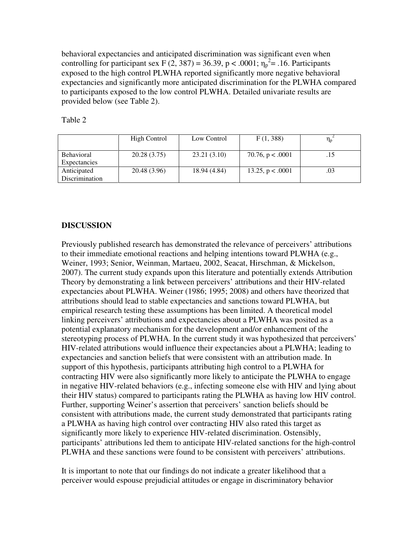behavioral expectancies and anticipated discrimination was significant even when controlling for participant sex F (2, 387) = 36.39, p < .0001;  $\eta_p^2$  = .16. Participants exposed to the high control PLWHA reported significantly more negative behavioral expectancies and significantly more anticipated discrimination for the PLWHA compared to participants exposed to the low control PLWHA. Detailed univariate results are provided below (see Table 2).

|                                   | High Control | Low Control  | F(1, 388)          |     |
|-----------------------------------|--------------|--------------|--------------------|-----|
| <b>Behavioral</b><br>Expectancies | 20.28(3.75)  | 23.21(3.10)  | 70.76, $p < .0001$ | .15 |
| Anticipated<br>Discrimination     | 20.48 (3.96) | 18.94 (4.84) | 13.25, $p < .0001$ | .03 |

Table 2

#### **DISCUSSION**

Previously published research has demonstrated the relevance of perceivers' attributions to their immediate emotional reactions and helping intentions toward PLWHA (e.g., Weiner, 1993; Senior, Weinman, Martaeu, 2002, Seacat, Hirschman, & Mickelson, 2007). The current study expands upon this literature and potentially extends Attribution Theory by demonstrating a link between perceivers' attributions and their HIV-related expectancies about PLWHA. Weiner (1986; 1995; 2008) and others have theorized that attributions should lead to stable expectancies and sanctions toward PLWHA, but empirical research testing these assumptions has been limited. A theoretical model linking perceivers' attributions and expectancies about a PLWHA was posited as a potential explanatory mechanism for the development and/or enhancement of the stereotyping process of PLWHA. In the current study it was hypothesized that perceivers' HIV-related attributions would influence their expectancies about a PLWHA; leading to expectancies and sanction beliefs that were consistent with an attribution made. In support of this hypothesis, participants attributing high control to a PLWHA for contracting HIV were also significantly more likely to anticipate the PLWHA to engage in negative HIV-related behaviors (e.g., infecting someone else with HIV and lying about their HIV status) compared to participants rating the PLWHA as having low HIV control. Further, supporting Weiner's assertion that perceivers' sanction beliefs should be consistent with attributions made, the current study demonstrated that participants rating a PLWHA as having high control over contracting HIV also rated this target as significantly more likely to experience HIV-related discrimination. Ostensibly, participants' attributions led them to anticipate HIV-related sanctions for the high-control PLWHA and these sanctions were found to be consistent with perceivers' attributions.

It is important to note that our findings do not indicate a greater likelihood that a perceiver would espouse prejudicial attitudes or engage in discriminatory behavior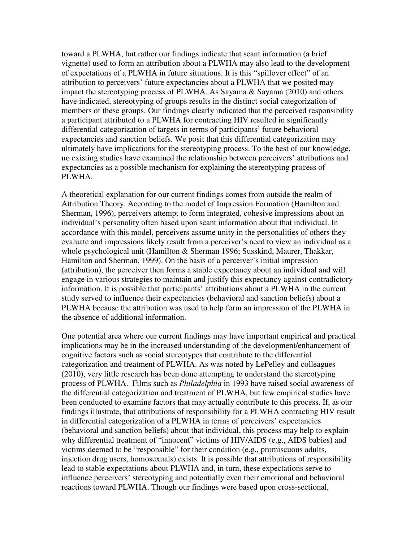toward a PLWHA, but rather our findings indicate that scant information (a brief vignette) used to form an attribution about a PLWHA may also lead to the development of expectations of a PLWHA in future situations. It is this "spillover effect" of an attribution to perceivers' future expectancies about a PLWHA that we posited may impact the stereotyping process of PLWHA. As Sayama  $\&$  Sayama (2010) and others have indicated, stereotyping of groups results in the distinct social categorization of members of these groups. Our findings clearly indicated that the perceived responsibility a participant attributed to a PLWHA for contracting HIV resulted in significantly differential categorization of targets in terms of participants' future behavioral expectancies and sanction beliefs. We posit that this differential categorization may ultimately have implications for the stereotyping process. To the best of our knowledge, no existing studies have examined the relationship between perceivers' attributions and expectancies as a possible mechanism for explaining the stereotyping process of PLWHA.

A theoretical explanation for our current findings comes from outside the realm of Attribution Theory. According to the model of Impression Formation (Hamilton and Sherman, 1996), perceivers attempt to form integrated, cohesive impressions about an individual's personality often based upon scant information about that individual. In accordance with this model, perceivers assume unity in the personalities of others they evaluate and impressions likely result from a perceiver's need to view an individual as a whole psychological unit (Hamilton & Sherman 1996; Susskind, Maurer, Thakkar, Hamilton and Sherman, 1999). On the basis of a perceiver's initial impression (attribution), the perceiver then forms a stable expectancy about an individual and will engage in various strategies to maintain and justify this expectancy against contradictory information. It is possible that participants' attributions about a PLWHA in the current study served to influence their expectancies (behavioral and sanction beliefs) about a PLWHA because the attribution was used to help form an impression of the PLWHA in the absence of additional information.

One potential area where our current findings may have important empirical and practical implications may be in the increased understanding of the development/enhancement of cognitive factors such as social stereotypes that contribute to the differential categorization and treatment of PLWHA. As was noted by LePelley and colleagues (2010), very little research has been done attempting to understand the stereotyping process of PLWHA. Films such as *Philadelphia* in 1993 have raised social awareness of the differential categorization and treatment of PLWHA, but few empirical studies have been conducted to examine factors that may actually contribute to this process. If, as our findings illustrate, that attributions of responsibility for a PLWHA contracting HIV result in differential categorization of a PLWHA in terms of perceivers' expectancies (behavioral and sanction beliefs) about that individual, this process may help to explain why differential treatment of "innocent" victims of HIV/AIDS (e.g., AIDS babies) and victims deemed to be "responsible" for their condition (e.g., promiscuous adults, injection drug users, homosexuals) exists. It is possible that attributions of responsibility lead to stable expectations about PLWHA and, in turn, these expectations serve to influence perceivers' stereotyping and potentially even their emotional and behavioral reactions toward PLWHA. Though our findings were based upon cross-sectional,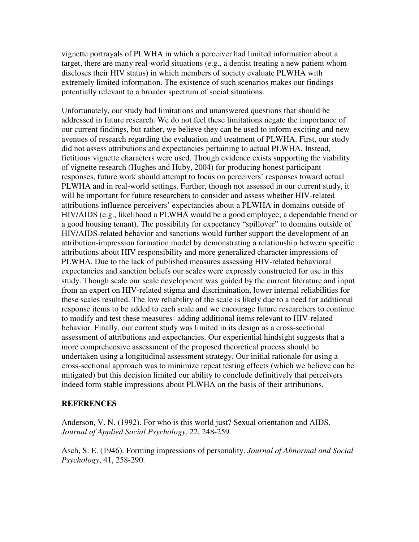vignette portrayals of PLWHA in which a perceiver had limited information about a target, there are many real-world situations (e.g., a dentist treating a new patient whom discloses their HIV status) in which members of society evaluate PLWHA with extremely limited information. The existence of such scenarios makes our findings potentially relevant to a broader spectrum of social situations.

Unfortunately, our study had limitations and unanswered questions that should be addressed in future research. We do not feel these limitations negate the importance of our current findings, but rather, we believe they can be used to inform exciting and new avenues of research regarding the evaluation and treatment of PLWHA. First, our study did not assess attributions and expectancies pertaining to actual PLWHA. Instead, fictitious vignette characters were used. Though evidence exists supporting the viability of vignette research (Hughes and Huby, 2004) for producing honest participant responses, future work should attempt to focus on perceivers' responses toward actual PLWHA and in real-world settings. Further, though not assessed in our current study, it will be important for future researchers to consider and assess whether HIV-related attributions influence perceivers' expectancies about a PLWHA in domains outside of HIV/AIDS (e.g., likelihood a PLWHA would be a good employee; a dependable friend or a good housing tenant). The possibility for expectancy "spillover" to domains outside of HIV/AIDS-related behavior and sanctions would further support the development of an attribution-impression formation model by demonstrating a relationship between specific attributions about HIV responsibility and more generalized character impressions of PLWHA. Due to the lack of published measures assessing HIV-related behavioral expectancies and sanction beliefs our scales were expressly constructed for use in this study. Though scale our scale development was guided by the current literature and input from an expert on HIV-related stigma and discrimination, lower internal reliabilities for these scales resulted. The low reliability of the scale is likely due to a need for additional response items to be added to each scale and we encourage future researchers to continue to modify and test these measures- adding additional items relevant to HIV-related behavior. Finally, our current study was limited in its design as a cross-sectional assessment of attributions and expectancies. Our experiential hindsight suggests that a more comprehensive assessment of the proposed theoretical process should be undertaken using a longitudinal assessment strategy. Our initial rationale for using a cross-sectional approach was to minimize repeat testing effects (which we believe can be mitigated) but this decision limited our ability to conclude definitively that perceivers indeed form stable impressions about PLWHA on the basis of their attributions.

#### **REFERENCES**

Anderson, V. N. (1992). For who is this world just? Sexual orientation and AIDS. *Journal of Applied Social Psychology*, 22, 248-259.

Asch, S. E. (1946). Forming impressions of personality. *Journal of Abnormal and Social Psychology*, 41, 258-290.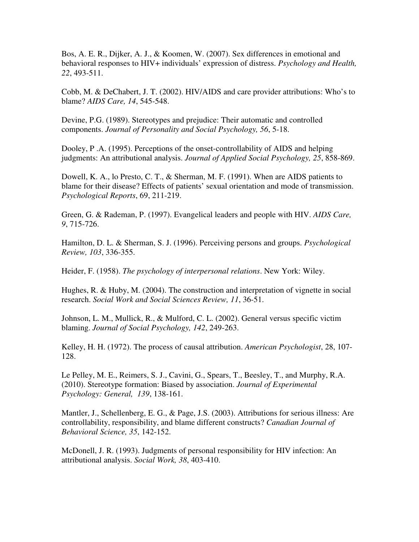Bos, A. E. R., Dijker, A. J., & Koomen, W. (2007). Sex differences in emotional and behavioral responses to HIV+ individuals' expression of distress. *Psychology and Health, 22*, 493-511.

Cobb, M. & DeChabert, J. T. (2002). HIV/AIDS and care provider attributions: Who's to blame? *AIDS Care, 14*, 545-548.

Devine, P.G. (1989). Stereotypes and prejudice: Their automatic and controlled components. *Journal of Personality and Social Psychology, 56*, 5-18.

Dooley, P .A. (1995). Perceptions of the onset-controllability of AIDS and helping judgments: An attributional analysis. *Journal of Applied Social Psychology, 25*, 858-869.

Dowell, K. A., lo Presto, C. T., & Sherman, M. F. (1991). When are AIDS patients to blame for their disease? Effects of patients' sexual orientation and mode of transmission. *Psychological Reports*, 69, 211-219.

Green, G. & Rademan, P. (1997). Evangelical leaders and people with HIV. *AIDS Care, 9*, 715-726.

Hamilton, D. L. & Sherman, S. J. (1996). Perceiving persons and groups. *Psychological Review, 103*, 336-355.

Heider, F. (1958). *The psychology of interpersonal relations*. New York: Wiley.

Hughes, R. & Huby, M. (2004). The construction and interpretation of vignette in social research. *Social Work and Social Sciences Review, 11*, 36-51.

Johnson, L. M., Mullick, R., & Mulford, C. L. (2002). General versus specific victim blaming. *Journal of Social Psychology, 142*, 249-263.

Kelley, H. H. (1972). The process of causal attribution. *American Psychologist*, 28, 107- 128.

Le Pelley, M. E., Reimers, S. J., Cavini, G., Spears, T., Beesley, T., and Murphy, R.A. (2010). Stereotype formation: Biased by association. *Journal of Experimental Psychology: General, 139*, 138-161.

Mantler, J., Schellenberg, E. G., & Page, J.S. (2003). Attributions for serious illness: Are controllability, responsibility, and blame different constructs? *Canadian Journal of Behavioral Science, 35*, 142-152.

McDonell, J. R. (1993). Judgments of personal responsibility for HIV infection: An attributional analysis. *Social Work, 38*, 403-410.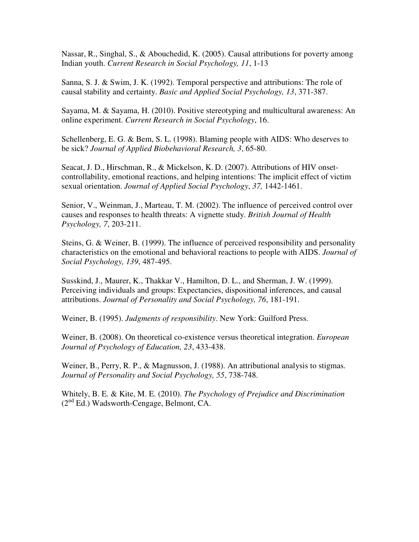Nassar, R., Singhal, S., & Abouchedid, K. (2005). Causal attributions for poverty among Indian youth. *Current Research in Social Psychology, 11*, 1-13

Sanna, S. J. & Swim, J. K. (1992). Temporal perspective and attributions: The role of causal stability and certainty. *Basic and Applied Social Psychology, 13*, 371-387.

Sayama, M. & Sayama, H. (2010). Positive stereotyping and multicultural awareness: An online experiment. *Current Research in Social Psychology*, 16.

Schellenberg, E. G. & Bem, S. L. (1998). Blaming people with AIDS: Who deserves to be sick? *Journal of Applied Biobehavioral Research, 3*, 65-80.

Seacat, J. D., Hirschman, R., & Mickelson, K. D. (2007). Attributions of HIV onsetcontrollability, emotional reactions, and helping intentions: The implicit effect of victim sexual orientation. *Journal of Applied Social Psychology*, *37,* 1442-1461.

Senior, V., Weinman, J., Marteau, T. M. (2002). The influence of perceived control over causes and responses to health threats: A vignette study. *British Journal of Health Psychology, 7*, 203-211.

Steins, G. & Weiner, B. (1999). The influence of perceived responsibility and personality characteristics on the emotional and behavioral reactions to people with AIDS. *Journal of Social Psychology, 139*, 487-495.

Susskind, J., Maurer, K., Thakkar V., Hamilton, D. L., and Sherman, J. W. (1999). Perceiving individuals and groups: Expectancies, dispositional inferences, and causal attributions. *Journal of Personality and Social Psychology, 76*, 181-191.

Weiner, B. (1995). *Judgments of responsibility*. New York: Guilford Press.

Weiner, B. (2008). On theoretical co-existence versus theoretical integration. *European Journal of Psychology of Education, 23*, 433-438.

Weiner, B., Perry, R. P., & Magnusson, J. (1988). An attributional analysis to stigmas. *Journal of Personality and Social Psychology, 55*, 738-748.

Whitely, B. E. & Kite, M. E. (2010). *The Psychology of Prejudice and Discrimination* (2nd Ed.) Wadsworth-Cengage, Belmont, CA.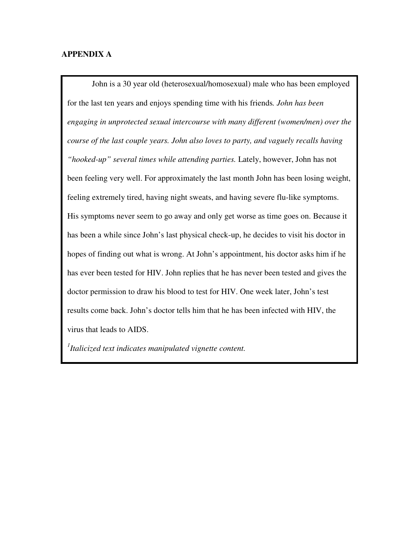#### **APPENDIX A**

John is a 30 year old (heterosexual/homosexual) male who has been employed for the last ten years and enjoys spending time with his friends*. John has been engaging in unprotected sexual intercourse with many different (women/men) over the course of the last couple years. John also loves to party, and vaguely recalls having "hooked-up" several times while attending parties.* Lately, however, John has not been feeling very well. For approximately the last month John has been losing weight, feeling extremely tired, having night sweats, and having severe flu-like symptoms. His symptoms never seem to go away and only get worse as time goes on. Because it has been a while since John's last physical check-up, he decides to visit his doctor in hopes of finding out what is wrong. At John's appointment, his doctor asks him if he has ever been tested for HIV. John replies that he has never been tested and gives the doctor permission to draw his blood to test for HIV. One week later, John's test results come back. John's doctor tells him that he has been infected with HIV, the virus that leads to AIDS.

*1 Italicized text indicates manipulated vignette content.*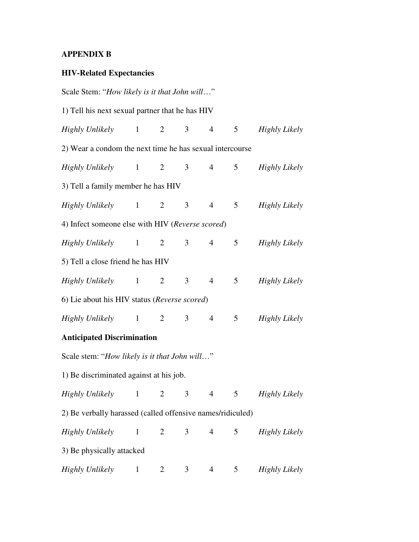## **APPENDIX B**

## **HIV-Related Expectancies**

| Scale Stem: "How likely is it that John will"              |              |                |                |                 |                 |                      |  |
|------------------------------------------------------------|--------------|----------------|----------------|-----------------|-----------------|----------------------|--|
| 1) Tell his next sexual partner that he has HIV            |              |                |                |                 |                 |                      |  |
| Highly Unlikely 1 2                                        |              |                | 3 <sup>7</sup> | $\overline{4}$  | 5 <sup>5</sup>  | Highly Likely        |  |
| 2) Wear a condom the next time he has sexual intercourse   |              |                |                |                 |                 |                      |  |
| Highly Unlikely 1 2                                        |              |                | 3 <sup>7</sup> | $\overline{4}$  | 5 <sup>5</sup>  | Highly Likely        |  |
| 3) Tell a family member he has HIV                         |              |                |                |                 |                 |                      |  |
| Highly Unlikely 1 2                                        |              |                | 3 <sup>7</sup> | $\overline{4}$  |                 | 5 Highly Likely      |  |
| 4) Infect someone else with HIV (Reverse scored)           |              |                |                |                 |                 |                      |  |
| Highly Unlikely 1 2                                        |              |                | 3 <sup>7</sup> | $4\overline{ }$ | 5 <sup>5</sup>  | Highly Likely        |  |
| 5) Tell a close friend he has HIV                          |              |                |                |                 |                 |                      |  |
| Highly Unlikely 1 2                                        |              |                | 3 <sup>7</sup> | $\overline{4}$  | 5 <sup>5</sup>  | Highly Likely        |  |
| 6) Lie about his HIV status (Reverse scored)               |              |                |                |                 |                 |                      |  |
| Highly Unlikely 1 2                                        |              |                | 3 <sup>7</sup> | 4 <sup>1</sup>  | 5 <sup>5</sup>  | Highly Likely        |  |
| <b>Anticipated Discrimination</b>                          |              |                |                |                 |                 |                      |  |
| Scale stem: "How likely is it that John will"              |              |                |                |                 |                 |                      |  |
| 1) Be discriminated against at his job.                    |              |                |                |                 |                 |                      |  |
| Highly Unlikely 1 2 3 4                                    |              |                |                |                 |                 | 5 Highly Likely      |  |
| 2) Be verbally harassed (called offensive names/ridiculed) |              |                |                |                 |                 |                      |  |
| <b>Highly Unlikely</b>                                     | $\mathbf{1}$ | $\overline{2}$ | 3              | $\overline{4}$  | 5               | <b>Highly Likely</b> |  |
| 3) Be physically attacked                                  |              |                |                |                 |                 |                      |  |
| <b>Highly Unlikely</b>                                     | $\mathbf{1}$ | $\overline{2}$ | 3              | $\overline{4}$  | $5\overline{)}$ | <b>Highly Likely</b> |  |